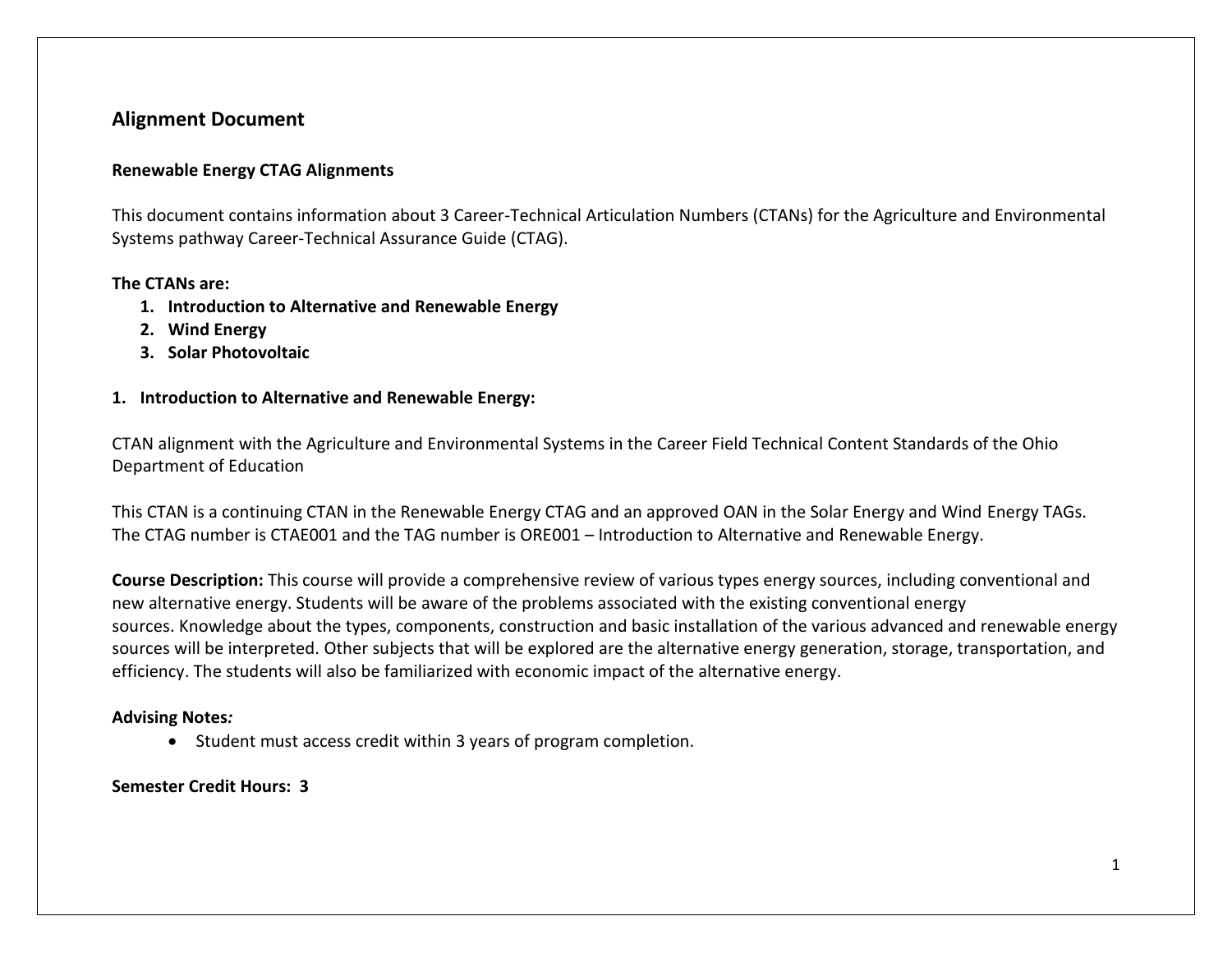# **Alignment Document**

### **Renewable Energy CTAG Alignments**

This document contains information about 3 Career-Technical Articulation Numbers (CTANs) for the Agriculture and Environmental Systems pathway Career-Technical Assurance Guide (CTAG).

#### **The CTANs are:**

- **1. Introduction to Alternative and Renewable Energy**
- **2. Wind Energy**
- **3. Solar Photovoltaic**

### **1. Introduction to Alternative and Renewable Energy:**

CTAN alignment with the Agriculture and Environmental Systems in the Career Field Technical Content Standards of the Ohio Department of Education

This CTAN is a continuing CTAN in the Renewable Energy CTAG and an approved OAN in the Solar Energy and Wind Energy TAGs. The CTAG number is CTAE001 and the TAG number is ORE001 – Introduction to Alternative and Renewable Energy.

**Course Description:** This course will provide a comprehensive review of various types energy sources, including conventional and new alternative energy. Students will be aware of the problems associated with the existing conventional energy sources. Knowledge about the types, components, construction and basic installation of the various advanced and renewable energy sources will be interpreted. Other subjects that will be explored are the alternative energy generation, storage, transportation, and efficiency. The students will also be familiarized with economic impact of the alternative energy.

#### **Advising Notes***:*

• Student must access credit within 3 years of program completion.

**Semester Credit Hours: 3**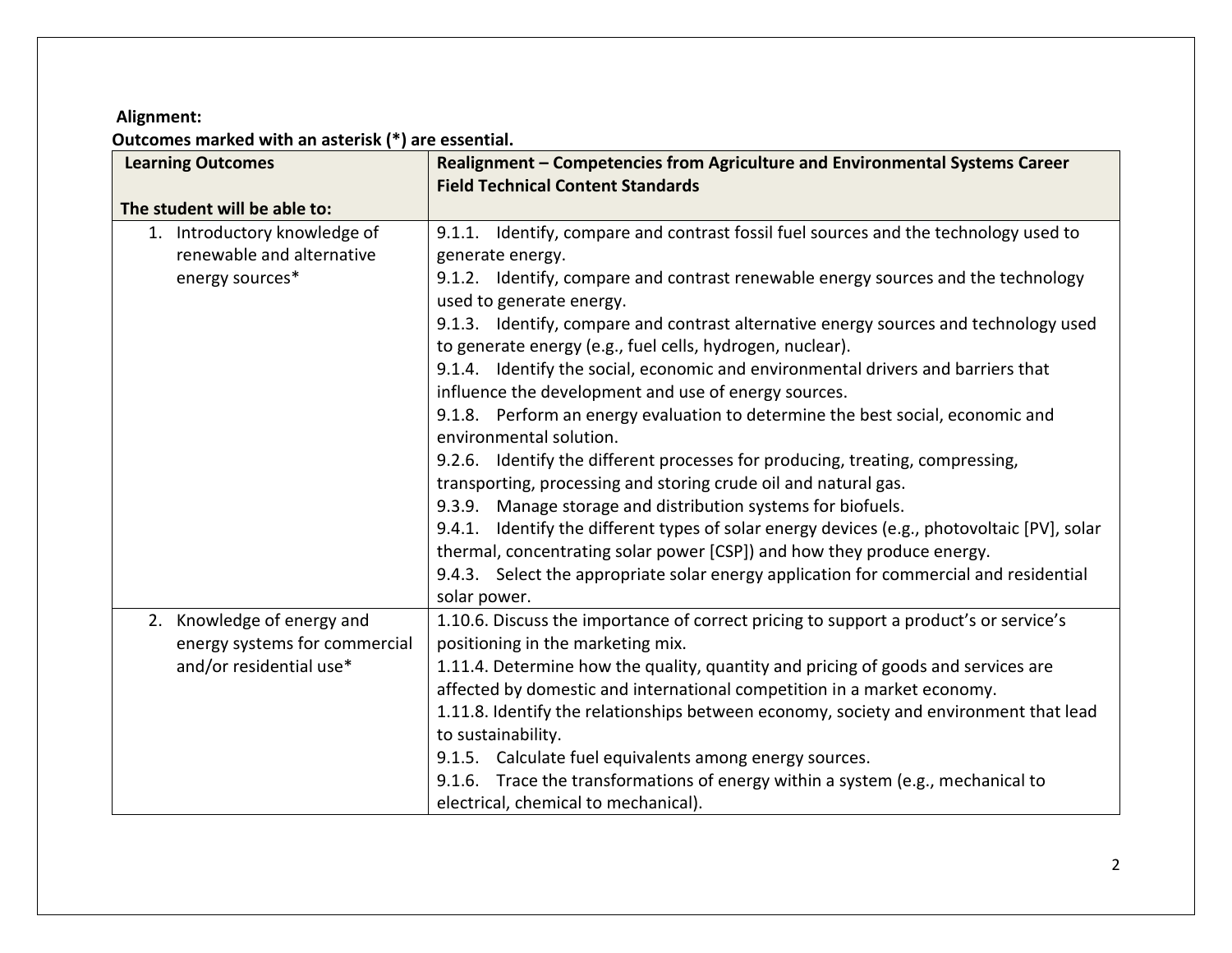### **Alignment:**

# **Outcomes marked with an asterisk (\*) are essential.**

| <b>Learning Outcomes</b>      | Realignment – Competencies from Agriculture and Environmental Systems Career                |
|-------------------------------|---------------------------------------------------------------------------------------------|
| The student will be able to:  | <b>Field Technical Content Standards</b>                                                    |
| 1. Introductory knowledge of  | 9.1.1. Identify, compare and contrast fossil fuel sources and the technology used to        |
| renewable and alternative     | generate energy.                                                                            |
| energy sources*               | 9.1.2. Identify, compare and contrast renewable energy sources and the technology           |
|                               | used to generate energy.                                                                    |
|                               | 9.1.3. Identify, compare and contrast alternative energy sources and technology used        |
|                               | to generate energy (e.g., fuel cells, hydrogen, nuclear).                                   |
|                               | 9.1.4. Identify the social, economic and environmental drivers and barriers that            |
|                               | influence the development and use of energy sources.                                        |
|                               | 9.1.8. Perform an energy evaluation to determine the best social, economic and              |
|                               | environmental solution.                                                                     |
|                               | 9.2.6. Identify the different processes for producing, treating, compressing,               |
|                               | transporting, processing and storing crude oil and natural gas.                             |
|                               | 9.3.9. Manage storage and distribution systems for biofuels.                                |
|                               | 9.4.1. Identify the different types of solar energy devices (e.g., photovoltaic [PV], solar |
|                               | thermal, concentrating solar power [CSP]) and how they produce energy.                      |
|                               | 9.4.3. Select the appropriate solar energy application for commercial and residential       |
|                               | solar power.                                                                                |
| 2. Knowledge of energy and    | 1.10.6. Discuss the importance of correct pricing to support a product's or service's       |
| energy systems for commercial | positioning in the marketing mix.                                                           |
| and/or residential use*       | 1.11.4. Determine how the quality, quantity and pricing of goods and services are           |
|                               | affected by domestic and international competition in a market economy.                     |
|                               | 1.11.8. Identify the relationships between economy, society and environment that lead       |
|                               | to sustainability.                                                                          |
|                               | 9.1.5. Calculate fuel equivalents among energy sources.                                     |
|                               | 9.1.6. Trace the transformations of energy within a system (e.g., mechanical to             |
|                               | electrical, chemical to mechanical).                                                        |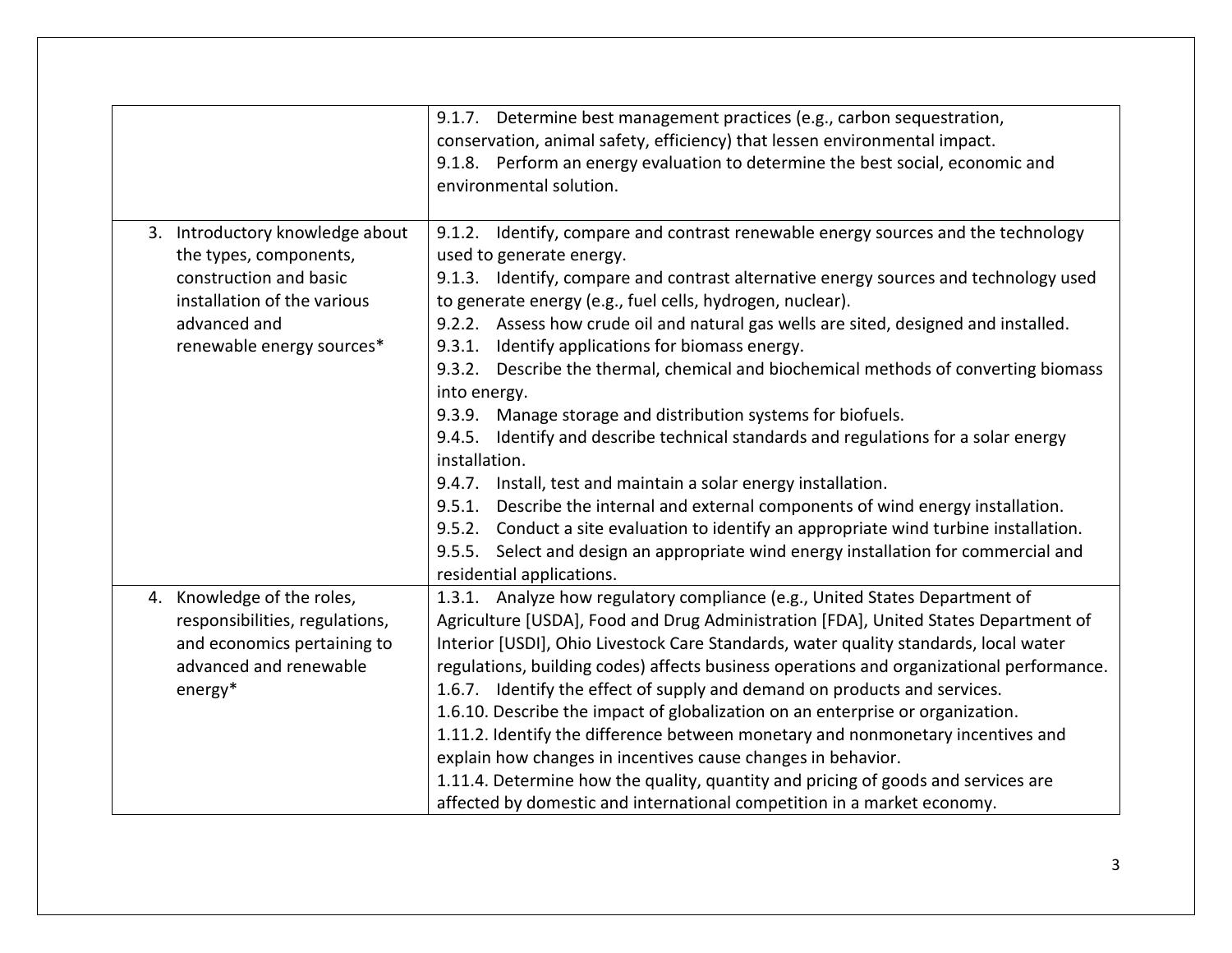|                                                                                                                                                                 | 9.1.7. Determine best management practices (e.g., carbon sequestration,<br>conservation, animal safety, efficiency) that lessen environmental impact.<br>9.1.8. Perform an energy evaluation to determine the best social, economic and<br>environmental solution.                                                                                                                                                                                                                                                                                                                                                                                                                                                                                                                                                                                                                                                                                                                                                                                                             |
|-----------------------------------------------------------------------------------------------------------------------------------------------------------------|--------------------------------------------------------------------------------------------------------------------------------------------------------------------------------------------------------------------------------------------------------------------------------------------------------------------------------------------------------------------------------------------------------------------------------------------------------------------------------------------------------------------------------------------------------------------------------------------------------------------------------------------------------------------------------------------------------------------------------------------------------------------------------------------------------------------------------------------------------------------------------------------------------------------------------------------------------------------------------------------------------------------------------------------------------------------------------|
| 3. Introductory knowledge about<br>the types, components,<br>construction and basic<br>installation of the various<br>advanced and<br>renewable energy sources* | Identify, compare and contrast renewable energy sources and the technology<br>9.1.2.<br>used to generate energy.<br>9.1.3. Identify, compare and contrast alternative energy sources and technology used<br>to generate energy (e.g., fuel cells, hydrogen, nuclear).<br>9.2.2. Assess how crude oil and natural gas wells are sited, designed and installed.<br>9.3.1. Identify applications for biomass energy.<br>9.3.2. Describe the thermal, chemical and biochemical methods of converting biomass<br>into energy.<br>9.3.9. Manage storage and distribution systems for biofuels.<br>Identify and describe technical standards and regulations for a solar energy<br>9.4.5.<br>installation.<br>Install, test and maintain a solar energy installation.<br>9.4.7.<br>Describe the internal and external components of wind energy installation.<br>9.5.1.<br>9.5.2. Conduct a site evaluation to identify an appropriate wind turbine installation.<br>9.5.5. Select and design an appropriate wind energy installation for commercial and<br>residential applications. |
| 4. Knowledge of the roles,<br>responsibilities, regulations,<br>and economics pertaining to<br>advanced and renewable<br>energy*                                | 1.3.1. Analyze how regulatory compliance (e.g., United States Department of<br>Agriculture [USDA], Food and Drug Administration [FDA], United States Department of<br>Interior [USDI], Ohio Livestock Care Standards, water quality standards, local water<br>regulations, building codes) affects business operations and organizational performance.<br>1.6.7. Identify the effect of supply and demand on products and services.<br>1.6.10. Describe the impact of globalization on an enterprise or organization.<br>1.11.2. Identify the difference between monetary and nonmonetary incentives and<br>explain how changes in incentives cause changes in behavior.<br>1.11.4. Determine how the quality, quantity and pricing of goods and services are<br>affected by domestic and international competition in a market economy.                                                                                                                                                                                                                                       |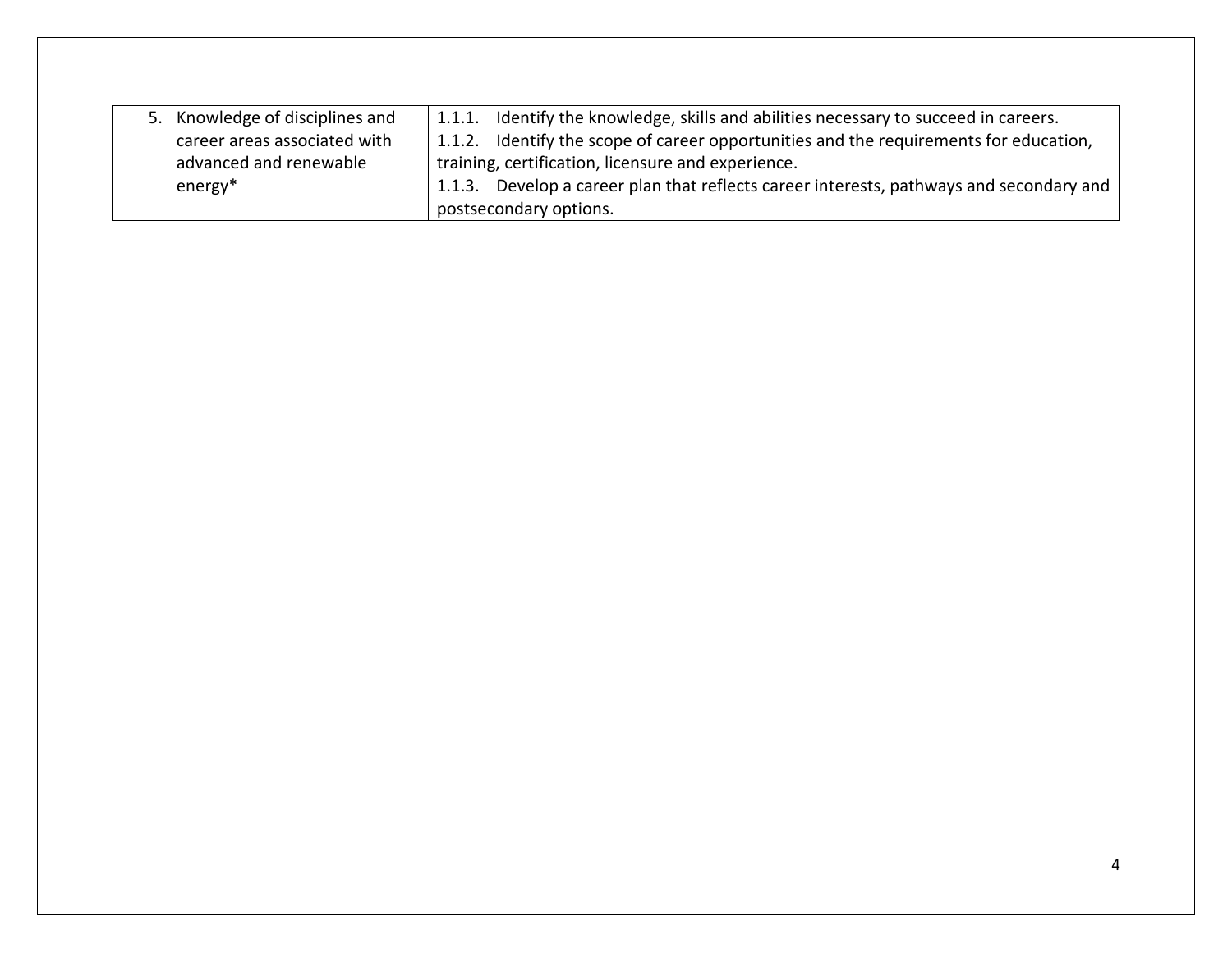|           | 5. Knowledge of disciplines and | 1.1.1. | Identify the knowledge, skills and abilities necessary to succeed in careers.         |
|-----------|---------------------------------|--------|---------------------------------------------------------------------------------------|
|           | career areas associated with    |        | 1.1.2. Identify the scope of career opportunities and the requirements for education, |
|           | advanced and renewable          |        | training, certification, licensure and experience.                                    |
| $energy*$ |                                 | 1.1.3. | Develop a career plan that reflects career interests, pathways and secondary and      |
|           |                                 |        | postsecondary options.                                                                |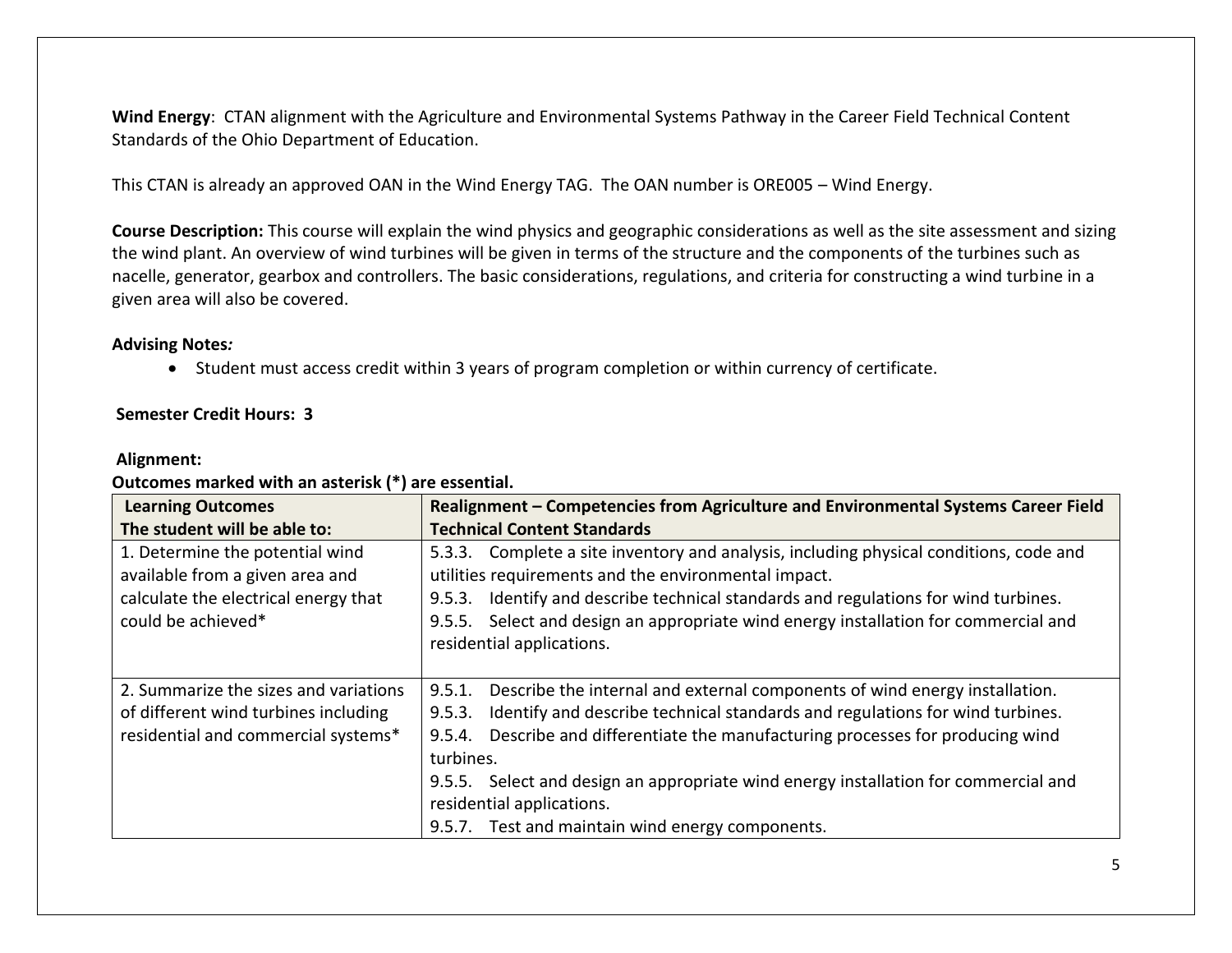**Wind Energy**: CTAN alignment with the Agriculture and Environmental Systems Pathway in the Career Field Technical Content Standards of the Ohio Department of Education.

This CTAN is already an approved OAN in the Wind Energy TAG. The OAN number is ORE005 – Wind Energy.

**Course Description:** This course will explain the wind physics and geographic considerations as well as the site assessment and sizing the wind plant. An overview of wind turbines will be given in terms of the structure and the components of the turbines such as nacelle, generator, gearbox and controllers. The basic considerations, regulations, and criteria for constructing a wind turbine in a given area will also be covered.

#### **Advising Notes***:*

Student must access credit within 3 years of program completion or within currency of certificate.

#### **Semester Credit Hours: 3**

| Outcomes marked with an asterisk (*) are essential. |                                                                                        |
|-----------------------------------------------------|----------------------------------------------------------------------------------------|
| <b>Learning Outcomes</b>                            | Realignment - Competencies from Agriculture and Environmental Systems Career Field     |
| The student will be able to:                        | <b>Technical Content Standards</b>                                                     |
| 1. Determine the potential wind                     | 5.3.3. Complete a site inventory and analysis, including physical conditions, code and |
| available from a given area and                     | utilities requirements and the environmental impact.                                   |
| calculate the electrical energy that                | Identify and describe technical standards and regulations for wind turbines.<br>9.5.3. |
| could be achieved*                                  | 9.5.5. Select and design an appropriate wind energy installation for commercial and    |
|                                                     | residential applications.                                                              |
|                                                     |                                                                                        |
| 2. Summarize the sizes and variations               | Describe the internal and external components of wind energy installation.<br>9.5.1.   |
| of different wind turbines including                | Identify and describe technical standards and regulations for wind turbines.<br>9.5.3. |
| residential and commercial systems*                 | Describe and differentiate the manufacturing processes for producing wind<br>9.5.4.    |
|                                                     | turbines.                                                                              |
|                                                     | 9.5.5. Select and design an appropriate wind energy installation for commercial and    |
|                                                     | residential applications.                                                              |
|                                                     | 9.5.7. Test and maintain wind energy components.                                       |

#### **Alignment:**

#### **Outcomes marked with an asterisk (\*) are essential.**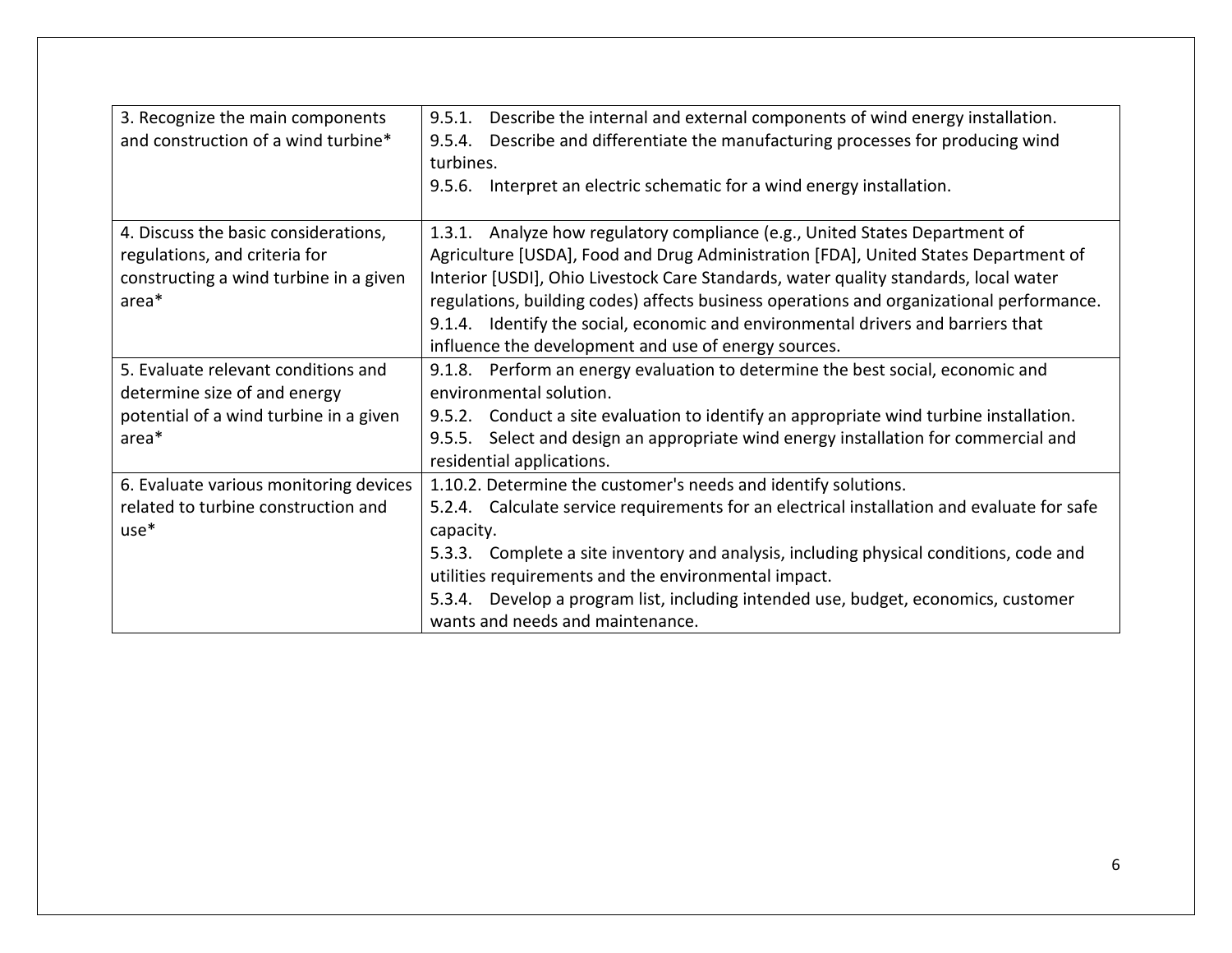| 3. Recognize the main components<br>and construction of a wind turbine*                                                  | Describe the internal and external components of wind energy installation.<br>9.5.1.<br>Describe and differentiate the manufacturing processes for producing wind<br>9.5.4.<br>turbines.<br>9.5.6. Interpret an electric schematic for a wind energy installation.                                                                                                                                                                                                                                 |
|--------------------------------------------------------------------------------------------------------------------------|----------------------------------------------------------------------------------------------------------------------------------------------------------------------------------------------------------------------------------------------------------------------------------------------------------------------------------------------------------------------------------------------------------------------------------------------------------------------------------------------------|
| 4. Discuss the basic considerations,<br>regulations, and criteria for<br>constructing a wind turbine in a given<br>area* | 1.3.1. Analyze how regulatory compliance (e.g., United States Department of<br>Agriculture [USDA], Food and Drug Administration [FDA], United States Department of<br>Interior [USDI], Ohio Livestock Care Standards, water quality standards, local water<br>regulations, building codes) affects business operations and organizational performance.<br>9.1.4. Identify the social, economic and environmental drivers and barriers that<br>influence the development and use of energy sources. |
| 5. Evaluate relevant conditions and                                                                                      | 9.1.8. Perform an energy evaluation to determine the best social, economic and                                                                                                                                                                                                                                                                                                                                                                                                                     |
| determine size of and energy                                                                                             | environmental solution.                                                                                                                                                                                                                                                                                                                                                                                                                                                                            |
| potential of a wind turbine in a given                                                                                   | 9.5.2. Conduct a site evaluation to identify an appropriate wind turbine installation.                                                                                                                                                                                                                                                                                                                                                                                                             |
| area*                                                                                                                    | 9.5.5. Select and design an appropriate wind energy installation for commercial and                                                                                                                                                                                                                                                                                                                                                                                                                |
|                                                                                                                          | residential applications.                                                                                                                                                                                                                                                                                                                                                                                                                                                                          |
| 6. Evaluate various monitoring devices                                                                                   | 1.10.2. Determine the customer's needs and identify solutions.                                                                                                                                                                                                                                                                                                                                                                                                                                     |
| related to turbine construction and                                                                                      | 5.2.4. Calculate service requirements for an electrical installation and evaluate for safe                                                                                                                                                                                                                                                                                                                                                                                                         |
| $use*$                                                                                                                   | capacity.                                                                                                                                                                                                                                                                                                                                                                                                                                                                                          |
|                                                                                                                          | 5.3.3. Complete a site inventory and analysis, including physical conditions, code and<br>utilities requirements and the environmental impact.                                                                                                                                                                                                                                                                                                                                                     |
|                                                                                                                          | 5.3.4. Develop a program list, including intended use, budget, economics, customer<br>wants and needs and maintenance.                                                                                                                                                                                                                                                                                                                                                                             |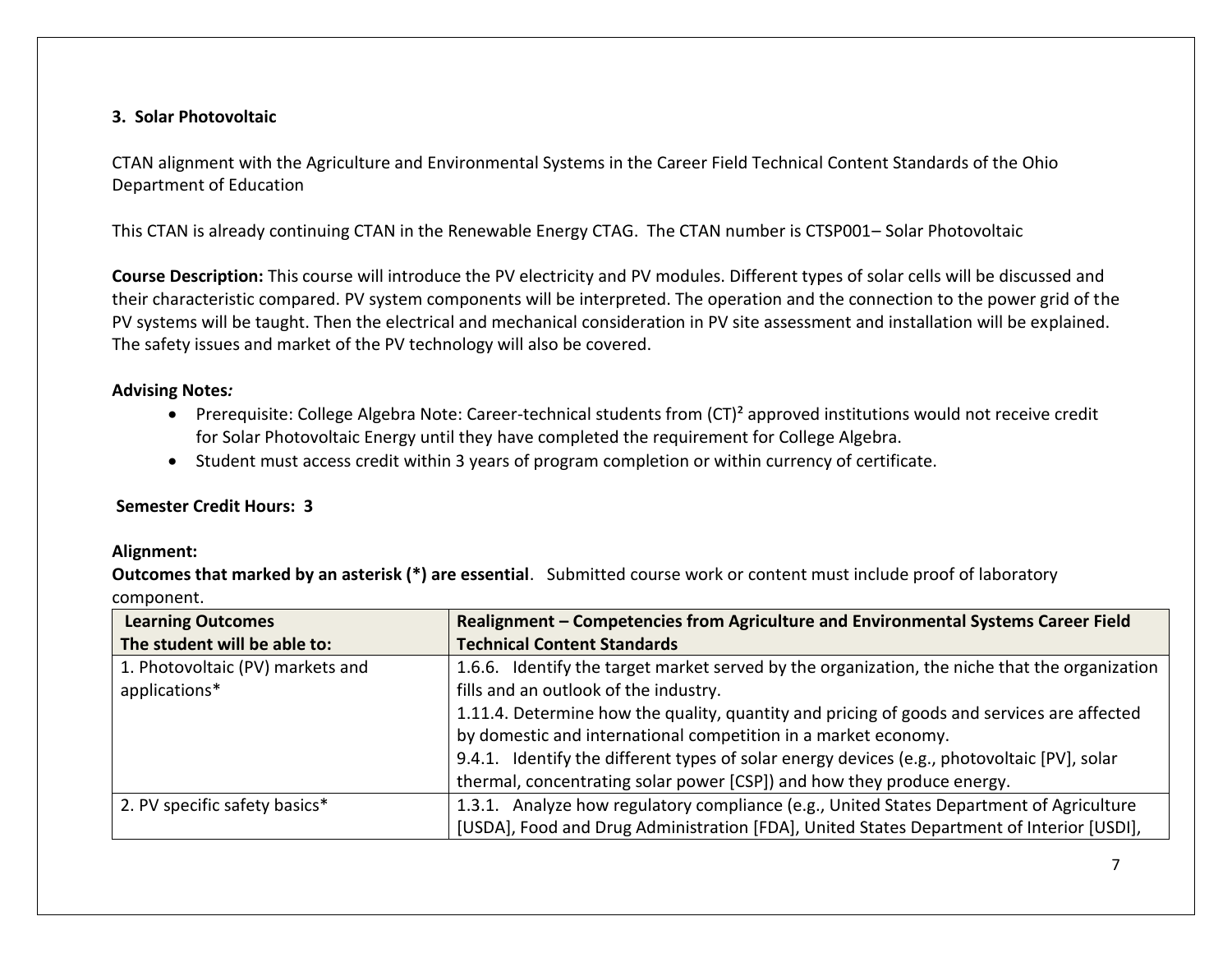# **3. Solar Photovoltaic**

CTAN alignment with the Agriculture and Environmental Systems in the Career Field Technical Content Standards of the Ohio Department of Education

This CTAN is already continuing CTAN in the Renewable Energy CTAG. The CTAN number is CTSP001– Solar Photovoltaic

**Course Description:** This course will introduce the PV electricity and PV modules. Different types of solar cells will be discussed and their characteristic compared. PV system components will be interpreted. The operation and the connection to the power grid of the PV systems will be taught. Then the electrical and mechanical consideration in PV site assessment and installation will be explained. The safety issues and market of the PV technology will also be covered.

# **Advising Notes***:*

- Prerequisite: College Algebra Note: Career-technical students from (CT)² approved institutions would not receive credit for Solar Photovoltaic Energy until they have completed the requirement for College Algebra.
- Student must access credit within 3 years of program completion or within currency of certificate.

# **Semester Credit Hours: 3**

### **Alignment:**

**Outcomes that marked by an asterisk (\*) are essential**. Submitted course work or content must include proof of laboratory component.

| <b>Learning Outcomes</b>         | Realignment - Competencies from Agriculture and Environmental Systems Career Field            |
|----------------------------------|-----------------------------------------------------------------------------------------------|
| The student will be able to:     | <b>Technical Content Standards</b>                                                            |
| 1. Photovoltaic (PV) markets and | 1.6.6. Identify the target market served by the organization, the niche that the organization |
| applications*                    | fills and an outlook of the industry.                                                         |
|                                  | 1.11.4. Determine how the quality, quantity and pricing of goods and services are affected    |
|                                  | by domestic and international competition in a market economy.                                |
|                                  | 9.4.1. Identify the different types of solar energy devices (e.g., photovoltaic [PV], solar   |
|                                  | thermal, concentrating solar power [CSP]) and how they produce energy.                        |
| 2. PV specific safety basics*    | 1.3.1. Analyze how regulatory compliance (e.g., United States Department of Agriculture       |
|                                  | [USDA], Food and Drug Administration [FDA], United States Department of Interior [USDI],      |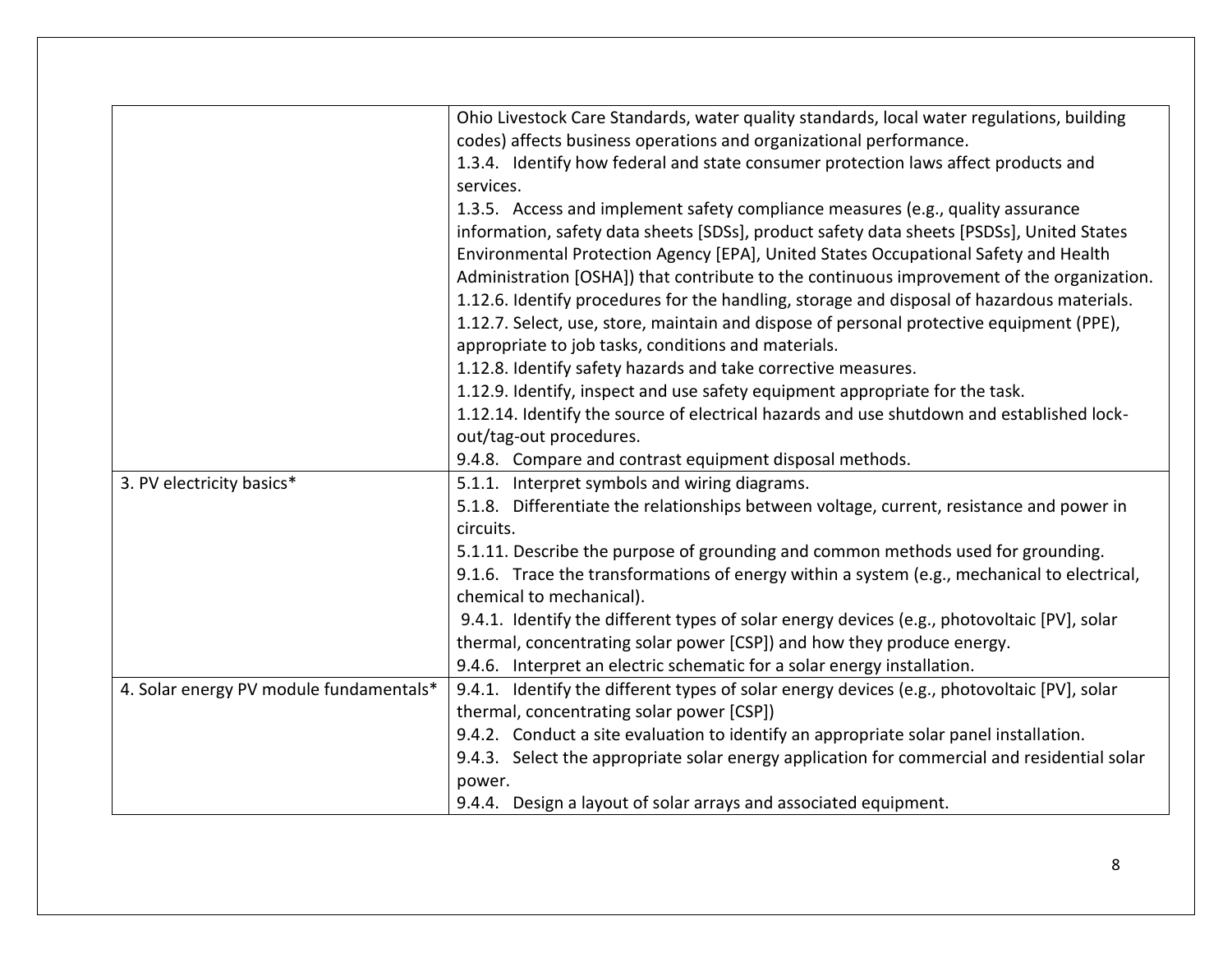|                                         | Ohio Livestock Care Standards, water quality standards, local water regulations, building   |
|-----------------------------------------|---------------------------------------------------------------------------------------------|
|                                         | codes) affects business operations and organizational performance.                          |
|                                         | 1.3.4. Identify how federal and state consumer protection laws affect products and          |
|                                         | services.                                                                                   |
|                                         | 1.3.5. Access and implement safety compliance measures (e.g., quality assurance             |
|                                         | information, safety data sheets [SDSs], product safety data sheets [PSDSs], United States   |
|                                         | Environmental Protection Agency [EPA], United States Occupational Safety and Health         |
|                                         | Administration [OSHA]) that contribute to the continuous improvement of the organization.   |
|                                         | 1.12.6. Identify procedures for the handling, storage and disposal of hazardous materials.  |
|                                         | 1.12.7. Select, use, store, maintain and dispose of personal protective equipment (PPE),    |
|                                         | appropriate to job tasks, conditions and materials.                                         |
|                                         | 1.12.8. Identify safety hazards and take corrective measures.                               |
|                                         | 1.12.9. Identify, inspect and use safety equipment appropriate for the task.                |
|                                         | 1.12.14. Identify the source of electrical hazards and use shutdown and established lock-   |
|                                         | out/tag-out procedures.                                                                     |
|                                         | 9.4.8. Compare and contrast equipment disposal methods.                                     |
| 3. PV electricity basics*               | 5.1.1. Interpret symbols and wiring diagrams.                                               |
|                                         | 5.1.8. Differentiate the relationships between voltage, current, resistance and power in    |
|                                         | circuits.                                                                                   |
|                                         | 5.1.11. Describe the purpose of grounding and common methods used for grounding.            |
|                                         | 9.1.6. Trace the transformations of energy within a system (e.g., mechanical to electrical, |
|                                         | chemical to mechanical).                                                                    |
|                                         | 9.4.1. Identify the different types of solar energy devices (e.g., photovoltaic [PV], solar |
|                                         | thermal, concentrating solar power [CSP]) and how they produce energy.                      |
|                                         | 9.4.6. Interpret an electric schematic for a solar energy installation.                     |
| 4. Solar energy PV module fundamentals* | 9.4.1. Identify the different types of solar energy devices (e.g., photovoltaic [PV], solar |
|                                         | thermal, concentrating solar power [CSP])                                                   |
|                                         | 9.4.2. Conduct a site evaluation to identify an appropriate solar panel installation.       |
|                                         | 9.4.3. Select the appropriate solar energy application for commercial and residential solar |
|                                         | power.                                                                                      |
|                                         | 9.4.4. Design a layout of solar arrays and associated equipment.                            |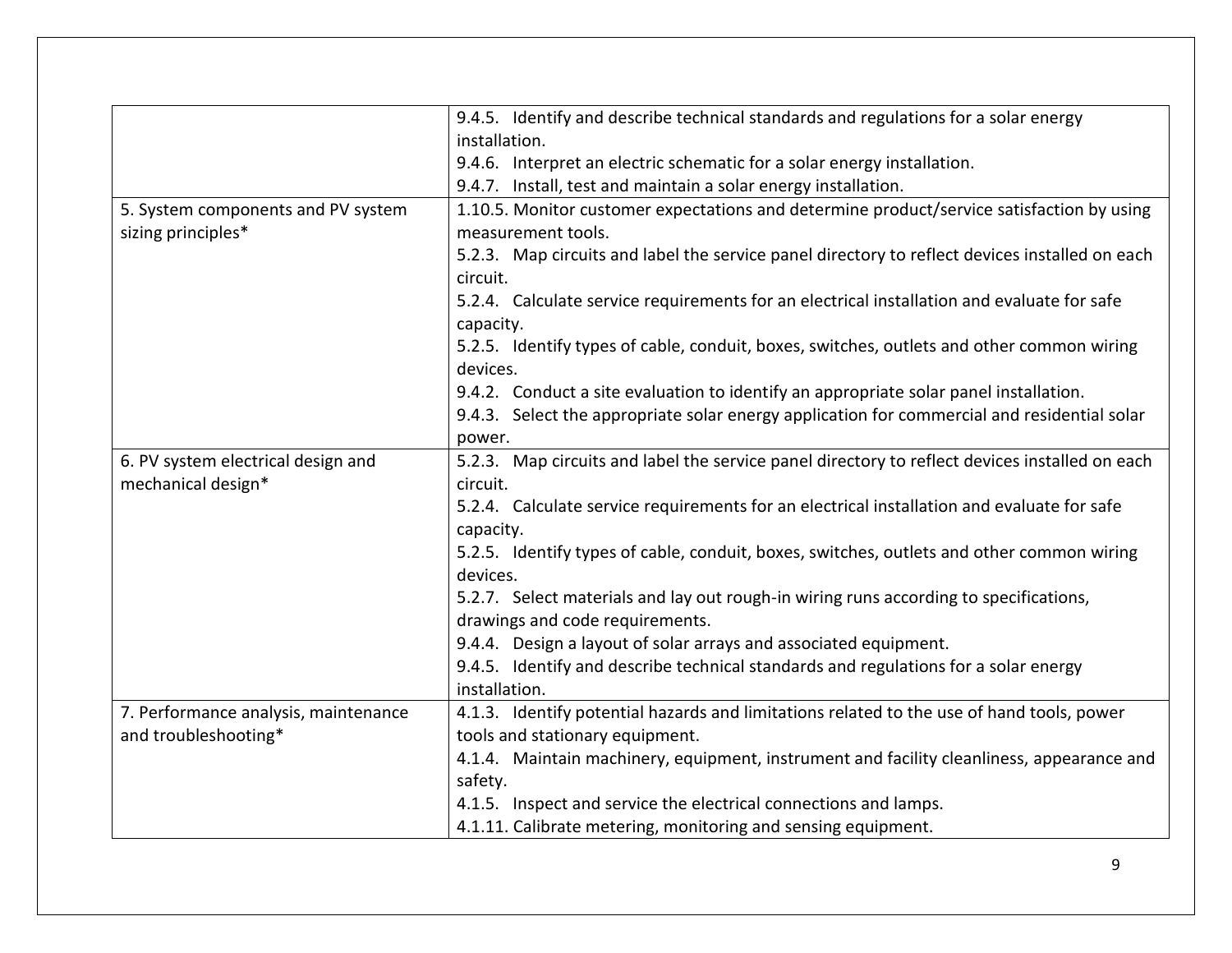| 9.4.5. Identify and describe technical standards and regulations for a solar energy                                      |
|--------------------------------------------------------------------------------------------------------------------------|
| installation.                                                                                                            |
| 9.4.6. Interpret an electric schematic for a solar energy installation.                                                  |
| 9.4.7. Install, test and maintain a solar energy installation.                                                           |
| 1.10.5. Monitor customer expectations and determine product/service satisfaction by using<br>measurement tools.          |
| 5.2.3. Map circuits and label the service panel directory to reflect devices installed on each<br>circuit.               |
| 5.2.4. Calculate service requirements for an electrical installation and evaluate for safe<br>capacity.                  |
| 5.2.5. Identify types of cable, conduit, boxes, switches, outlets and other common wiring<br>devices.                    |
| 9.4.2. Conduct a site evaluation to identify an appropriate solar panel installation.                                    |
| 9.4.3. Select the appropriate solar energy application for commercial and residential solar                              |
| power.                                                                                                                   |
| 5.2.3. Map circuits and label the service panel directory to reflect devices installed on each                           |
| circuit.                                                                                                                 |
| 5.2.4. Calculate service requirements for an electrical installation and evaluate for safe                               |
| capacity.                                                                                                                |
| 5.2.5. Identify types of cable, conduit, boxes, switches, outlets and other common wiring<br>devices.                    |
| 5.2.7. Select materials and lay out rough-in wiring runs according to specifications,<br>drawings and code requirements. |
| 9.4.4. Design a layout of solar arrays and associated equipment.                                                         |
| 9.4.5. Identify and describe technical standards and regulations for a solar energy                                      |
| installation.                                                                                                            |
| 4.1.3. Identify potential hazards and limitations related to the use of hand tools, power                                |
| tools and stationary equipment.                                                                                          |
| 4.1.4. Maintain machinery, equipment, instrument and facility cleanliness, appearance and                                |
| safety.                                                                                                                  |
| 4.1.5. Inspect and service the electrical connections and lamps.                                                         |
| 4.1.11. Calibrate metering, monitoring and sensing equipment.                                                            |
|                                                                                                                          |